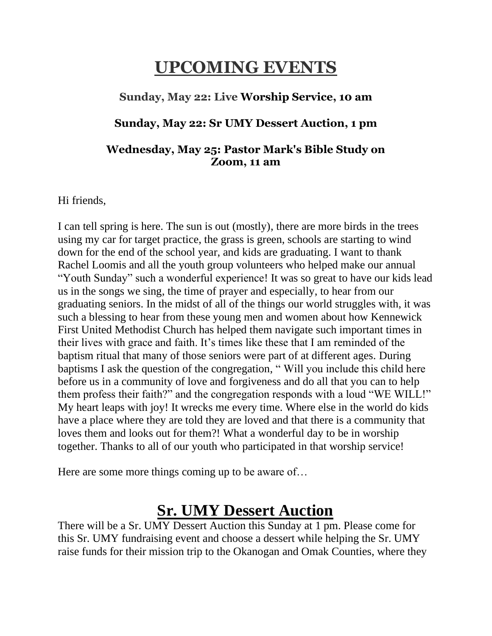## **UPCOMING EVENTS**

#### **Sunday, May 22: Live Worship Service, 10 am**

#### **Sunday, May 22: Sr UMY Dessert Auction, 1 pm**

#### **Wednesday, May 25: Pastor Mark's Bible Study on Zoom, 11 am**

Hi friends,

I can tell spring is here. The sun is out (mostly), there are more birds in the trees using my car for target practice, the grass is green, schools are starting to wind down for the end of the school year, and kids are graduating. I want to thank Rachel Loomis and all the youth group volunteers who helped make our annual "Youth Sunday" such a wonderful experience! It was so great to have our kids lead us in the songs we sing, the time of prayer and especially, to hear from our graduating seniors. In the midst of all of the things our world struggles with, it was such a blessing to hear from these young men and women about how Kennewick First United Methodist Church has helped them navigate such important times in their lives with grace and faith. It's times like these that I am reminded of the baptism ritual that many of those seniors were part of at different ages. During baptisms I ask the question of the congregation, " Will you include this child here before us in a community of love and forgiveness and do all that you can to help them profess their faith?" and the congregation responds with a loud "WE WILL!" My heart leaps with joy! It wrecks me every time. Where else in the world do kids have a place where they are told they are loved and that there is a community that loves them and looks out for them?! What a wonderful day to be in worship together. Thanks to all of our youth who participated in that worship service!

Here are some more things coming up to be aware of…

#### **Sr. UMY Dessert Auction**

There will be a Sr. UMY Dessert Auction this Sunday at 1 pm. Please come for this Sr. UMY fundraising event and choose a dessert while helping the Sr. UMY raise funds for their mission trip to the Okanogan and Omak Counties, where they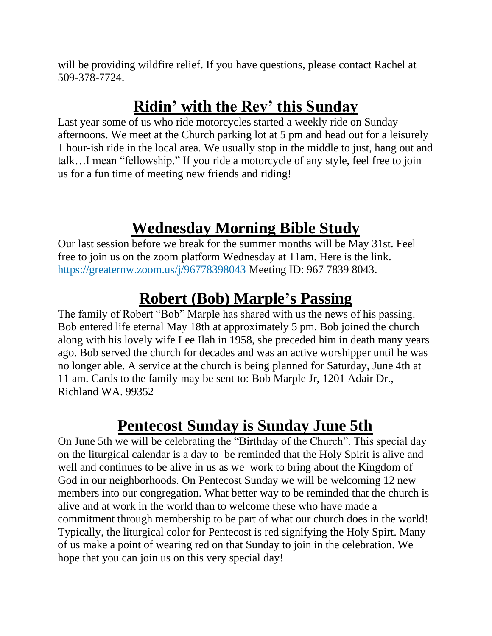will be providing wildfire relief. If you have questions, please contact Rachel at 509-378-7724.

## **Ridin' with the Rev' this Sunday**

Last year some of us who ride motorcycles started a weekly ride on Sunday afternoons. We meet at the Church parking lot at 5 pm and head out for a leisurely 1 hour-ish ride in the local area. We usually stop in the middle to just, hang out and talk…I mean "fellowship." If you ride a motorcycle of any style, feel free to join us for a fun time of meeting new friends and riding!

## **Wednesday Morning Bible Study**

Our last session before we break for the summer months will be May 31st. Feel free to join us on the zoom platform Wednesday at 11am. Here is the link. <https://greaternw.zoom.us/j/96778398043> Meeting ID: 967 7839 8043.

## **Robert (Bob) Marple's Passing**

The family of Robert "Bob" Marple has shared with us the news of his passing. Bob entered life eternal May 18th at approximately 5 pm. Bob joined the church along with his lovely wife Lee Ilah in 1958, she preceded him in death many years ago. Bob served the church for decades and was an active worshipper until he was no longer able. A service at the church is being planned for Saturday, June 4th at 11 am. Cards to the family may be sent to: Bob Marple Jr, 1201 Adair Dr., Richland WA. 99352

#### **Pentecost Sunday is Sunday June 5th**

On June 5th we will be celebrating the "Birthday of the Church". This special day on the liturgical calendar is a day to be reminded that the Holy Spirit is alive and well and continues to be alive in us as we work to bring about the Kingdom of God in our neighborhoods. On Pentecost Sunday we will be welcoming 12 new members into our congregation. What better way to be reminded that the church is alive and at work in the world than to welcome these who have made a commitment through membership to be part of what our church does in the world! Typically, the liturgical color for Pentecost is red signifying the Holy Spirt. Many of us make a point of wearing red on that Sunday to join in the celebration. We hope that you can join us on this very special day!